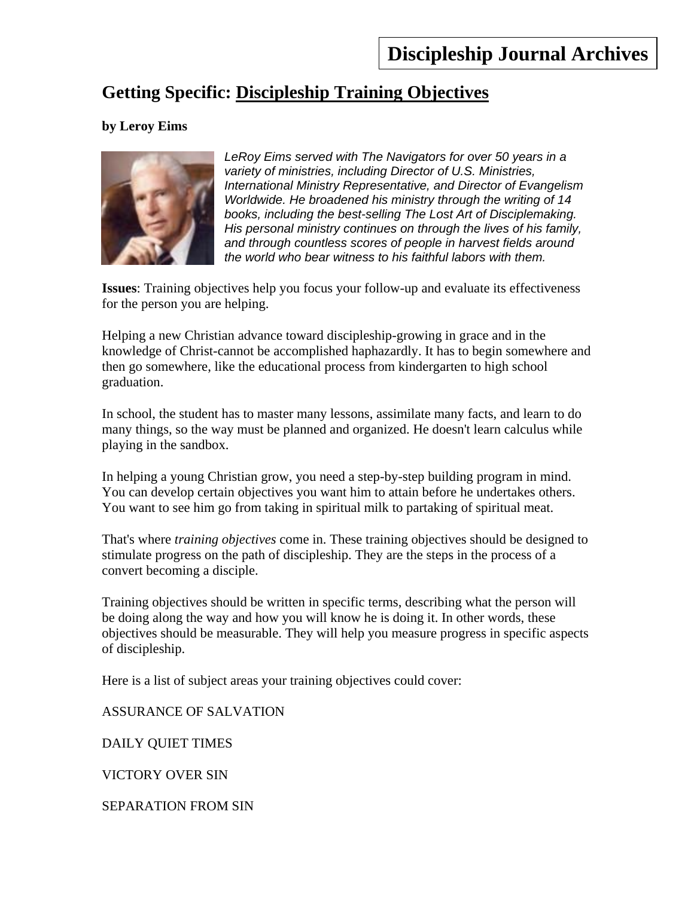# **Getting Specific: Discipleship Training Objectives**

## **by Leroy Eims**



*LeRoy Eims served with The Navigators for over 50 years in a variety of ministries, including Director of U.S. Ministries, International Ministry Representative, and Director of Evangelism Worldwide. He broadened his ministry through the writing of 14 books, including the best-selling The Lost Art of Disciplemaking. His personal ministry continues on through the lives of his family, and through countless scores of people in harvest fields around the world who bear witness to his faithful labors with them.* 

**Issues**: Training objectives help you focus your follow-up and evaluate its effectiveness for the person you are helping.

Helping a new Christian advance toward discipleship-growing in grace and in the knowledge of Christ-cannot be accomplished haphazardly. It has to begin somewhere and then go somewhere, like the educational process from kindergarten to high school graduation.

In school, the student has to master many lessons, assimilate many facts, and learn to do many things, so the way must be planned and organized. He doesn't learn calculus while playing in the sandbox.

In helping a young Christian grow, you need a step-by-step building program in mind. You can develop certain objectives you want him to attain before he undertakes others. You want to see him go from taking in spiritual milk to partaking of spiritual meat.

That's where *training objectives* come in. These training objectives should be designed to stimulate progress on the path of discipleship. They are the steps in the process of a convert becoming a disciple.

Training objectives should be written in specific terms, describing what the person will be doing along the way and how you will know he is doing it. In other words, these objectives should be measurable. They will help you measure progress in specific aspects of discipleship.

Here is a list of subject areas your training objectives could cover:

ASSURANCE OF SALVATION

DAILY QUIET TIMES

VICTORY OVER SIN

SEPARATION FROM SIN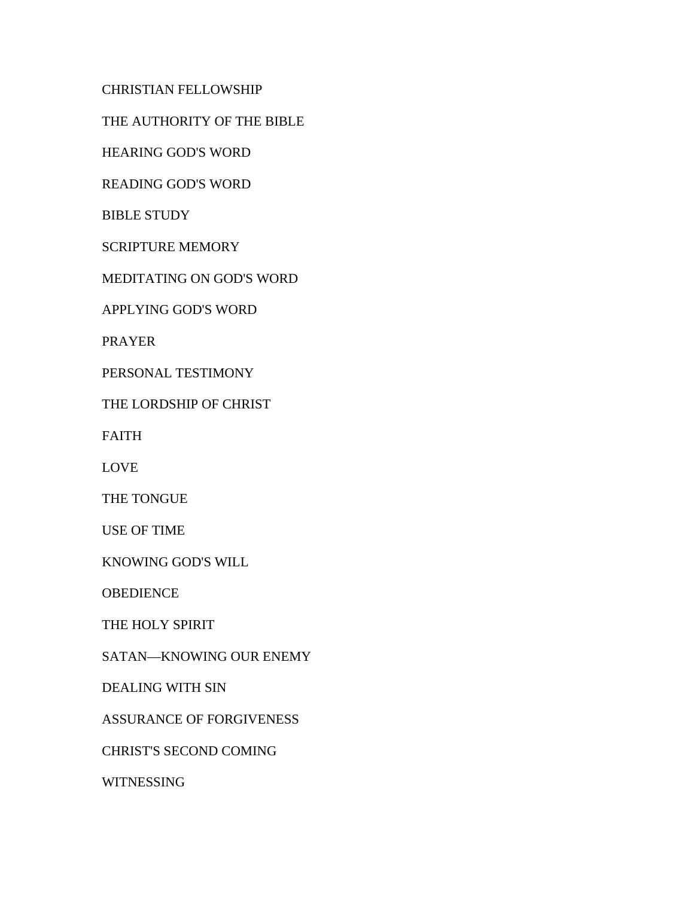CHRISTIAN FELLOWSHIP

THE AUTHORITY OF THE BIBLE

HEARING GOD'S WORD

READING GOD'S WORD

BIBLE STUDY

SCRIPTURE MEMORY

MEDITATING ON GOD'S WORD

APPLYING GOD'S WORD

PRAYER

PERSONAL TESTIMONY

THE LORDSHIP OF CHRIST

FAITH

LOVE

THE TONGUE

USE OF TIME

KNOWING GOD'S WILL

**OBEDIENCE** 

THE HOLY SPIRIT

SATAN—KNOWING OUR ENEMY

DEALING WITH SIN

ASSURANCE OF FORGIVENESS

CHRIST'S SECOND COMING

WITNESSING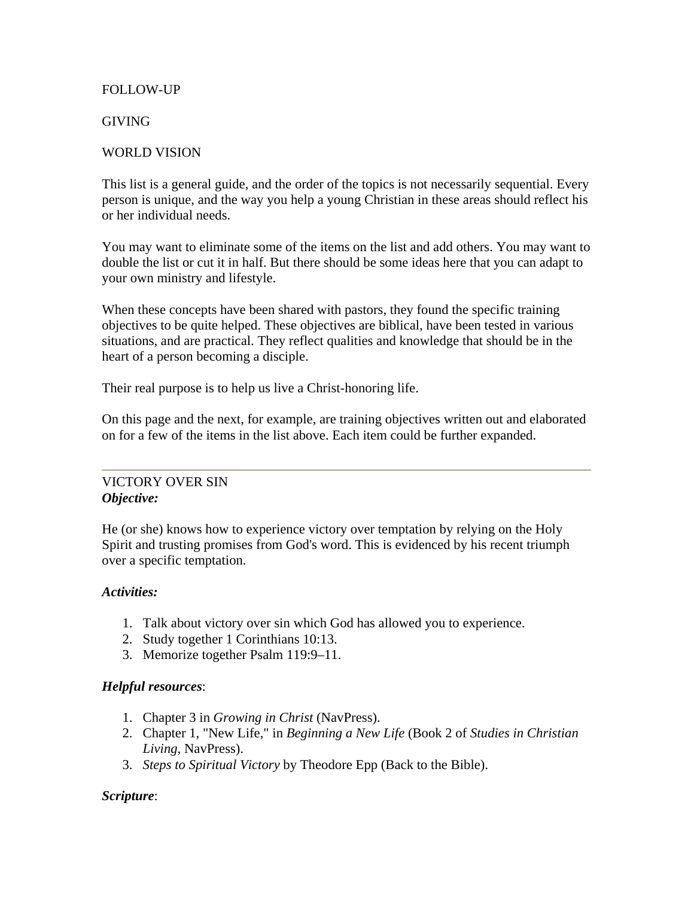## FOLLOW-UP

## GIVING

## WORLD VISION

This list is a general guide, and the order of the topics is not necessarily sequential. Every person is unique, and the way you help a young Christian in these areas should reflect his or her individual needs.

You may want to eliminate some of the items on the list and add others. You may want to double the list or cut it in half. But there should be some ideas here that you can adapt to your own ministry and lifestyle.

When these concepts have been shared with pastors, they found the specific training objectives to be quite helped. These objectives are biblical, have been tested in various situations, and are practical. They reflect qualities and knowledge that should be in the heart of a person becoming a disciple.

Their real purpose is to help us live a Christ-honoring life.

On this page and the next, for example, are training objectives written out and elaborated on for a few of the items in the list above. Each item could be further expanded.

#### VICTORY OVER SIN *Objective:*

He (or she) knows how to experience victory over temptation by relying on the Holy Spirit and trusting promises from God's word. This is evidenced by his recent triumph over a specific temptation.

#### *Activities:*

- 1. Talk about victory over sin which God has allowed you to experience.
- 2. Study together 1 Corinthians 10:13.
- 3. Memorize together Psalm 119:9–11.

#### *Helpful resources*:

- 1. Chapter 3 in *Growing in Christ* (NavPress).
- 2. Chapter 1, "New Life," in *Beginning a New Life* (Book 2 of *Studies in Christian Living*, NavPress).
- 3. *Steps to Spiritual Victory* by Theodore Epp (Back to the Bible).

#### *Scripture*: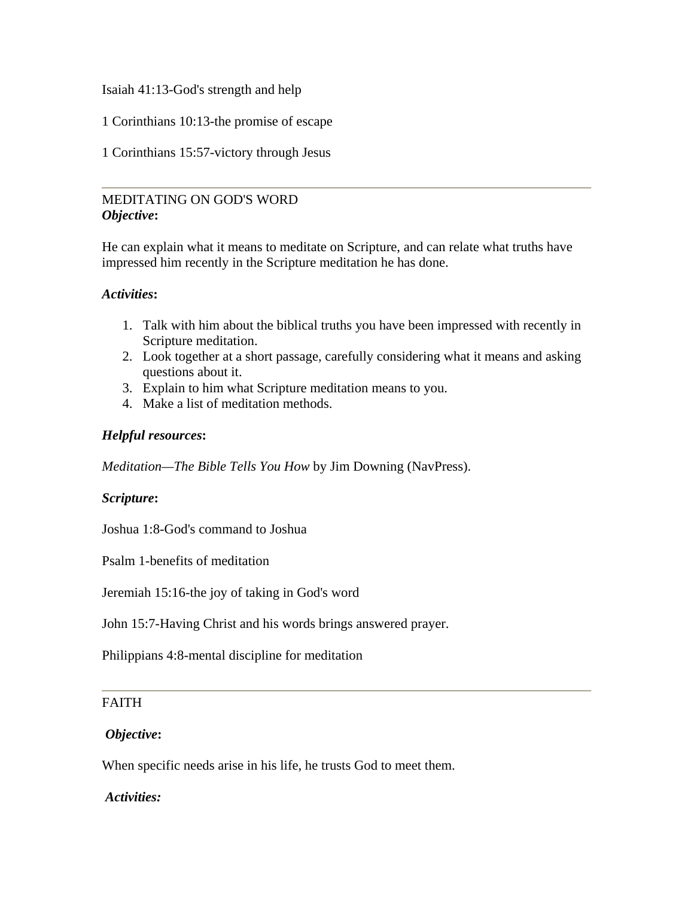Isaiah 41:13-God's strength and help

1 Corinthians 10:13-the promise of escape

1 Corinthians 15:57-victory through Jesus

# MEDITATING ON GOD'S WORD *Objective***:**

He can explain what it means to meditate on Scripture, and can relate what truths have impressed him recently in the Scripture meditation he has done.

## *Activities***:**

- 1. Talk with him about the biblical truths you have been impressed with recently in Scripture meditation.
- 2. Look together at a short passage, carefully considering what it means and asking questions about it.
- 3. Explain to him what Scripture meditation means to you.
- 4. Make a list of meditation methods.

## *Helpful resources***:**

*Meditation—The Bible Tells You How* by Jim Downing (NavPress).

#### *Scripture***:**

Joshua 1:8-God's command to Joshua

Psalm 1-benefits of meditation

Jeremiah 15:16-the joy of taking in God's word

John 15:7-Having Christ and his words brings answered prayer.

Philippians 4:8-mental discipline for meditation

# FAITH

#### *Objective***:**

When specific needs arise in his life, he trusts God to meet them.

#### *Activities:*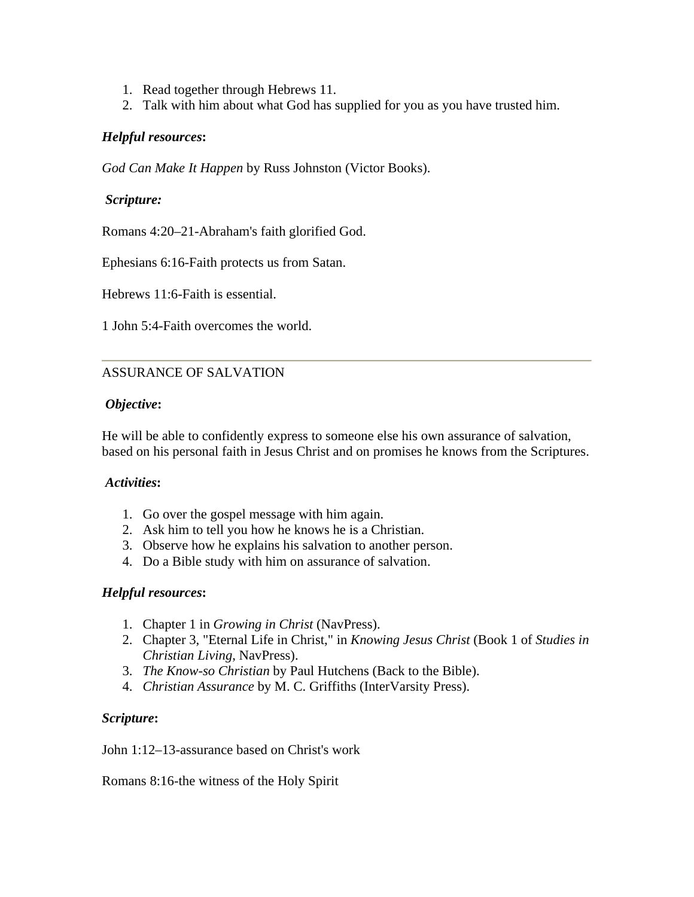- 1. Read together through Hebrews 11.
- 2. Talk with him about what God has supplied for you as you have trusted him.

## *Helpful resources***:**

*God Can Make It Happen* by Russ Johnston (Victor Books).

#### *Scripture:*

Romans 4:20–21-Abraham's faith glorified God.

Ephesians 6:16-Faith protects us from Satan.

Hebrews 11:6-Faith is essential.

1 John 5:4-Faith overcomes the world.

## ASSURANCE OF SALVATION

#### *Objective***:**

He will be able to confidently express to someone else his own assurance of salvation, based on his personal faith in Jesus Christ and on promises he knows from the Scriptures.

#### *Activities***:**

- 1. Go over the gospel message with him again.
- 2. Ask him to tell you how he knows he is a Christian.
- 3. Observe how he explains his salvation to another person.
- 4. Do a Bible study with him on assurance of salvation.

#### *Helpful resources***:**

- 1. Chapter 1 in *Growing in Christ* (NavPress).
- 2. Chapter 3, "Eternal Life in Christ," in *Knowing Jesus Christ* (Book 1 of *Studies in Christian Living*, NavPress).
- 3. *The Know-so Christian* by Paul Hutchens (Back to the Bible).
- 4. *Christian Assurance* by M. C. Griffiths (InterVarsity Press).

#### *Scripture***:**

John 1:12–13-assurance based on Christ's work

Romans 8:16-the witness of the Holy Spirit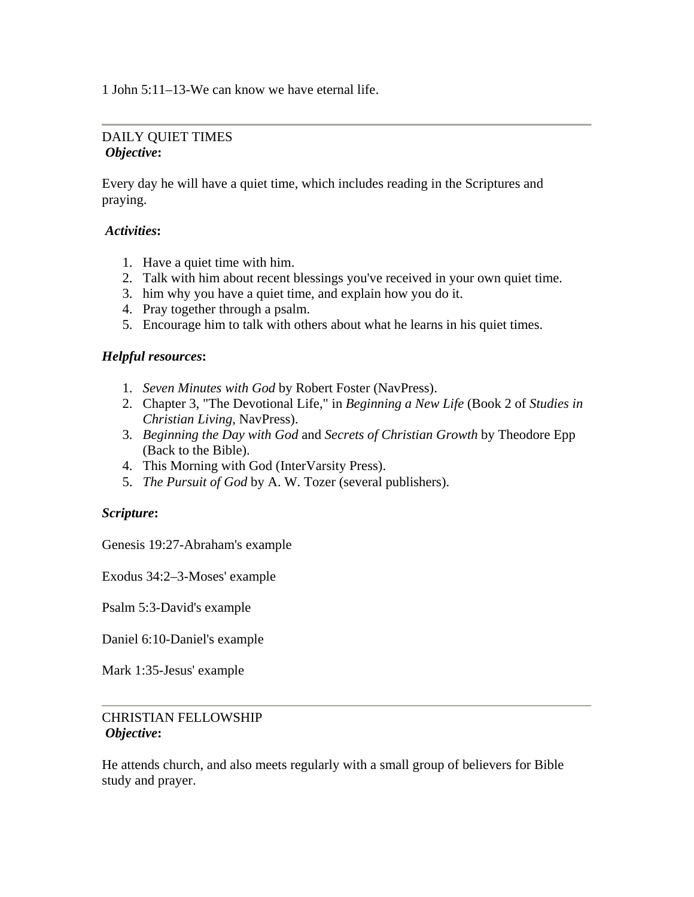1 John 5:11–13-We can know we have eternal life.

## DAILY QUIET TIMES *Objective***:**

Every day he will have a quiet time, which includes reading in the Scriptures and praying.

## *Activities***:**

- 1. Have a quiet time with him.
- 2. Talk with him about recent blessings you've received in your own quiet time.
- 3. him why you have a quiet time, and explain how you do it.
- 4. Pray together through a psalm.
- 5. Encourage him to talk with others about what he learns in his quiet times.

## *Helpful resources***:**

- 1. *Seven Minutes with God* by Robert Foster (NavPress).
- 2. Chapter 3, "The Devotional Life," in *Beginning a New Life* (Book 2 of *Studies in Christian Living*, NavPress).
- 3. *Beginning the Day with God* and *Secrets of Christian Growth* by Theodore Epp (Back to the Bible).
- 4. This Morning with God (InterVarsity Press).
- 5. *The Pursuit of God* by A. W. Tozer (several publishers).

#### *Scripture***:**

Genesis 19:27-Abraham's example

Exodus 34:2–3-Moses' example

Psalm 5:3-David's example

Daniel 6:10-Daniel's example

Mark 1:35-Jesus' example

# CHRISTIAN FELLOWSHIP *Objective***:**

He attends church, and also meets regularly with a small group of believers for Bible study and prayer.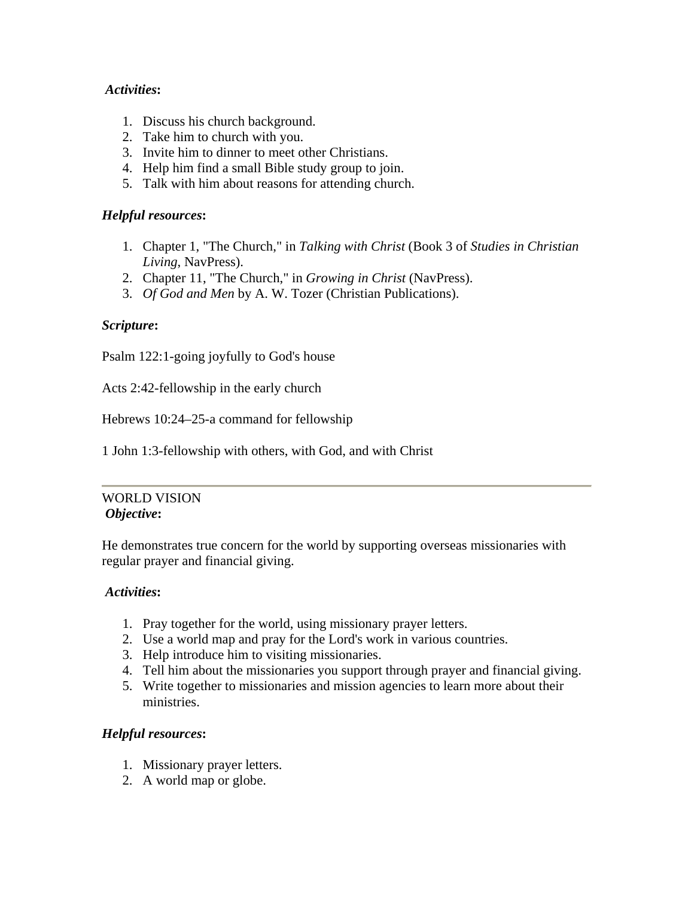## *Activities***:**

- 1. Discuss his church background.
- 2. Take him to church with you.
- 3. Invite him to dinner to meet other Christians.
- 4. Help him find a small Bible study group to join.
- 5. Talk with him about reasons for attending church.

## *Helpful resources***:**

- 1. Chapter 1, "The Church," in *Talking with Christ* (Book 3 of *Studies in Christian Living*, NavPress).
- 2. Chapter 11, "The Church," in *Growing in Christ* (NavPress).
- 3. *Of God and Men* by A. W. Tozer (Christian Publications).

## *Scripture***:**

Psalm 122:1-going joyfully to God's house

Acts 2:42-fellowship in the early church

Hebrews 10:24–25-a command for fellowship

1 John 1:3-fellowship with others, with God, and with Christ

#### WORLD VISION *Objective***:**

He demonstrates true concern for the world by supporting overseas missionaries with regular prayer and financial giving.

#### *Activities***:**

- 1. Pray together for the world, using missionary prayer letters.
- 2. Use a world map and pray for the Lord's work in various countries.
- 3. Help introduce him to visiting missionaries.
- 4. Tell him about the missionaries you support through prayer and financial giving.
- 5. Write together to missionaries and mission agencies to learn more about their ministries.

# *Helpful resources***:**

- 1. Missionary prayer letters.
- 2. A world map or globe.